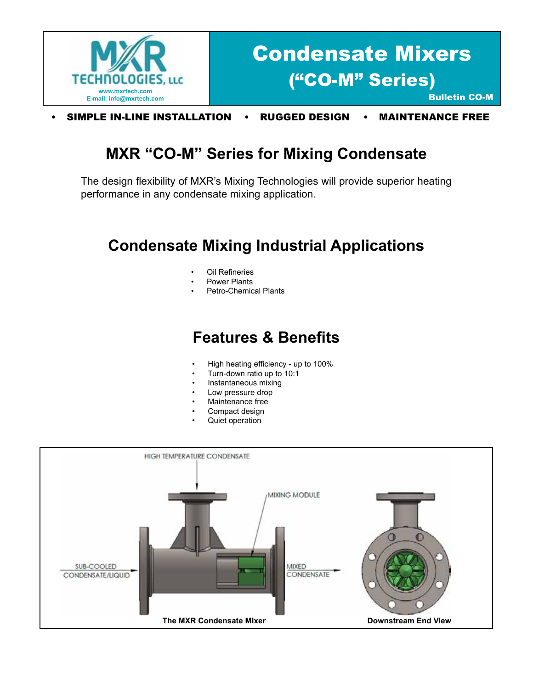

• SIMPLE IN-LINE INSTALLATION • RUGGED DESIGN • MAINTENANCE FREE

## **MXR "CO-M" Series for Mixing Condensate**

The design flexibility of MXR's Mixing Technologies will provide superior heating performance in any condensate mixing application.

## **Condensate Mixing Industrial Applications**

- **Oil Refineries**
- Power Plants
- Petro-Chemical Plants

## **Features & Benefits**

- High heating efficiency up to 100%
- Turn-down ratio up to 10:1
- Instantaneous mixing
- Low pressure drop
- Maintenance free
- Compact design
- Quiet operation